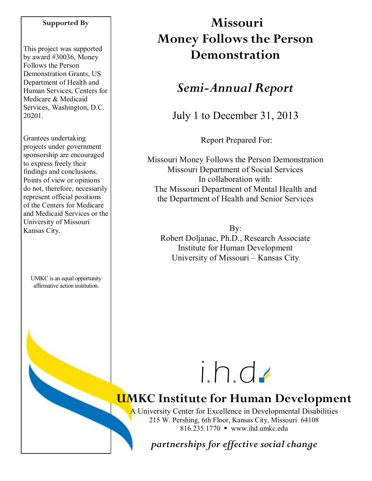#### **Supported By**

This project was supported by award #30036, Money Follows the Person Demonstration Grants, US Department of Health and Human Services, Centers for Medicare & Medicaid Services, Washington, D.C. 20201.

Grantees undertaking projects under government sponsorship are encouraged to express freely their findings and conclusions. Points of view or opinions do not, therefore, necessarily represent official positions of the Centers for Medicare and Medicaid Services or the University of Missouri Kansas City.

UMKC is an equal opportunity affirmative action institution.

# **Missouri Money Follows the Person Demonstration**

# *Semi-Annual Report*

July 1 to December 31, 2013

Report Prepared For:

Missouri Money Follows the Person Demonstration Missouri Department of Social Services In collaboration with: The Missouri Department of Mental Health and the Department of Health and Senior Services

By: Robert Doljanac, Ph.D., Research Associate Institute for Human Development University of Missouri – Kansas City

# i.h.d

# **UMKC Institute for Human Development**

A University Center for Excellence in Developmental Disabilities 215 W. Pershing, 6th Floor, Kansas City, Missouri 64108 816.235.1770 www.ihd.umkc.edu

*partnerships for effective social change*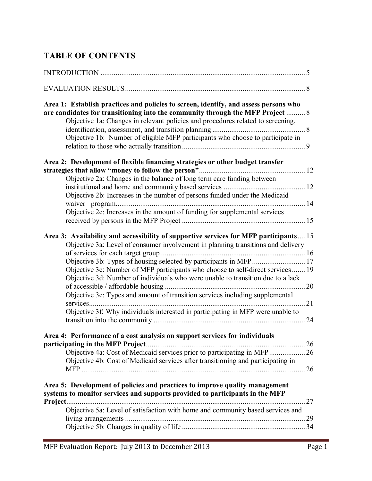# **TABLE OF CONTENTS**

| Area 1: Establish practices and policies to screen, identify, and assess persons who<br>are candidates for transitioning into the community through the MFP Project  8<br>Objective 1a: Changes in relevant policies and procedures related to screening,<br>Objective 1b: Number of eligible MFP participants who choose to participate in                                                                                                                                                                                                                                             |  |
|-----------------------------------------------------------------------------------------------------------------------------------------------------------------------------------------------------------------------------------------------------------------------------------------------------------------------------------------------------------------------------------------------------------------------------------------------------------------------------------------------------------------------------------------------------------------------------------------|--|
| Area 2: Development of flexible financing strategies or other budget transfer<br>Objective 2a: Changes in the balance of long term care funding between                                                                                                                                                                                                                                                                                                                                                                                                                                 |  |
| Objective 2b: Increases in the number of persons funded under the Medicaid<br>Objective 2c: Increases in the amount of funding for supplemental services                                                                                                                                                                                                                                                                                                                                                                                                                                |  |
|                                                                                                                                                                                                                                                                                                                                                                                                                                                                                                                                                                                         |  |
| Area 3: Availability and accessibility of supportive services for MFP participants 15<br>Objective 3a: Level of consumer involvement in planning transitions and delivery<br>Objective 3b: Types of housing selected by participants in MFP 17<br>Objective 3c: Number of MFP participants who choose to self-direct services  19<br>Objective 3d: Number of individuals who were unable to transition due to a lack<br>Objective 3e: Types and amount of transition services including supplemental<br>Objective 3f: Why individuals interested in participating in MFP were unable to |  |
| Area 4: Performance of a cost analysis on support services for individuals<br>Objective 4a: Cost of Medicaid services prior to participating in MFP 26<br>Objective 4b: Cost of Medicaid services after transitioning and participating in<br>26                                                                                                                                                                                                                                                                                                                                        |  |
| Area 5: Development of policies and practices to improve quality management<br>systems to monitor services and supports provided to participants in the MFP<br>Project.<br>Objective 5a: Level of satisfaction with home and community based services and                                                                                                                                                                                                                                                                                                                               |  |
|                                                                                                                                                                                                                                                                                                                                                                                                                                                                                                                                                                                         |  |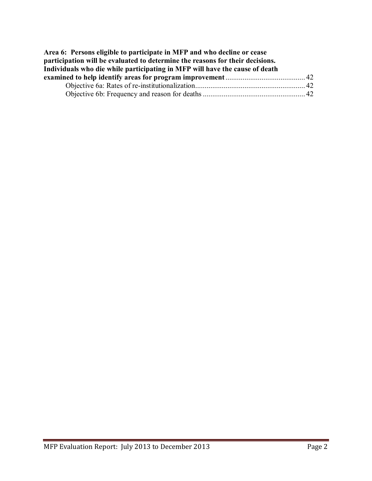| Area 6: Persons eligible to participate in MFP and who decline or cease       |  |
|-------------------------------------------------------------------------------|--|
| participation will be evaluated to determine the reasons for their decisions. |  |
| Individuals who die while participating in MFP will have the cause of death   |  |
|                                                                               |  |
|                                                                               |  |
|                                                                               |  |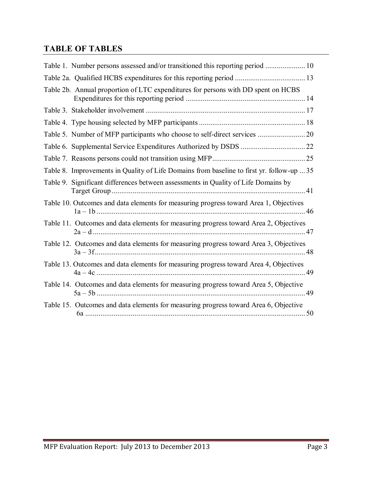# **TABLE OF TABLES**

| Table 1. Number persons assessed and/or transitioned this reporting period  10            |  |
|-------------------------------------------------------------------------------------------|--|
|                                                                                           |  |
| Table 2b. Annual proportion of LTC expenditures for persons with DD spent on HCBS         |  |
|                                                                                           |  |
|                                                                                           |  |
|                                                                                           |  |
|                                                                                           |  |
|                                                                                           |  |
| Table 8. Improvements in Quality of Life Domains from baseline to first yr. follow-up  35 |  |
| Table 9. Significant differences between assessments in Quality of Life Domains by        |  |
| Table 10. Outcomes and data elements for measuring progress toward Area 1, Objectives     |  |
| Table 11. Outcomes and data elements for measuring progress toward Area 2, Objectives     |  |
| Table 12. Outcomes and data elements for measuring progress toward Area 3, Objectives     |  |
| Table 13. Outcomes and data elements for measuring progress toward Area 4, Objectives     |  |
| Table 14. Outcomes and data elements for measuring progress toward Area 5, Objective      |  |
| Table 15. Outcomes and data elements for measuring progress toward Area 6, Objective      |  |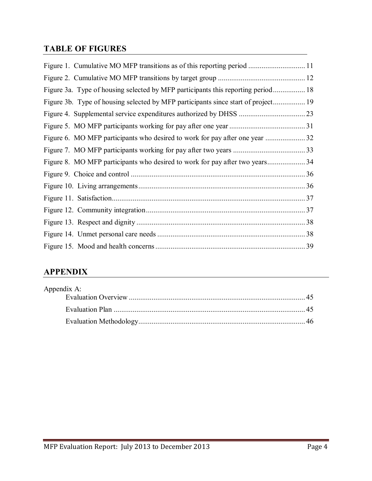## **TABLE OF FIGURES**

| Figure 3a. Type of housing selected by MFP participants this reporting period 18  |  |
|-----------------------------------------------------------------------------------|--|
| Figure 3b. Type of housing selected by MFP participants since start of project 19 |  |
|                                                                                   |  |
|                                                                                   |  |
|                                                                                   |  |
|                                                                                   |  |
|                                                                                   |  |
|                                                                                   |  |
|                                                                                   |  |
|                                                                                   |  |
|                                                                                   |  |
|                                                                                   |  |
|                                                                                   |  |
|                                                                                   |  |

# **APPENDIX**

| Appendix A: |  |
|-------------|--|
|             |  |
|             |  |
|             |  |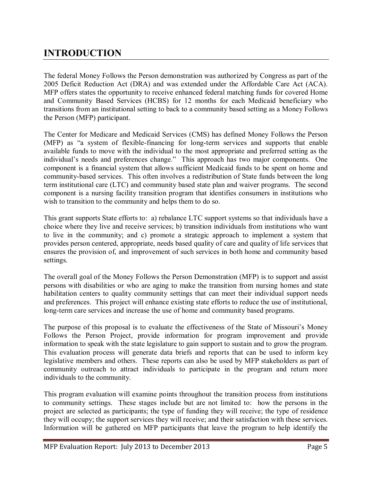# **INTRODUCTION**

The federal Money Follows the Person demonstration was authorized by Congress as part of the 2005 Deficit Reduction Act (DRA) and was extended under the Affordable Care Act (ACA). MFP offers states the opportunity to receive enhanced federal matching funds for covered Home and Community Based Services (HCBS) for 12 months for each Medicaid beneficiary who transitions from an institutional setting to back to a community based setting as a Money Follows the Person (MFP) participant.

The Center for Medicare and Medicaid Services (CMS) has defined Money Follows the Person (MFP) as "a system of flexible-financing for long-term services and supports that enable available funds to move with the individual to the most appropriate and preferred setting as the individual's needs and preferences change." This approach has two major components. One component is a financial system that allows sufficient Medicaid funds to be spent on home and community-based services. This often involves a redistribution of State funds between the long term institutional care (LTC) and community based state plan and waiver programs. The second component is a nursing facility transition program that identifies consumers in institutions who wish to transition to the community and helps them to do so.

This grant supports State efforts to: a) rebalance LTC support systems so that individuals have a choice where they live and receive services; b) transition individuals from institutions who want to live in the community; and c) promote a strategic approach to implement a system that provides person centered, appropriate, needs based quality of care and quality of life services that ensures the provision of, and improvement of such services in both home and community based settings.

The overall goal of the Money Follows the Person Demonstration (MFP) is to support and assist persons with disabilities or who are aging to make the transition from nursing homes and state habilitation centers to quality community settings that can meet their individual support needs and preferences. This project will enhance existing state efforts to reduce the use of institutional, long-term care services and increase the use of home and community based programs.

The purpose of this proposal is to evaluate the effectiveness of the State of Missouri's Money Follows the Person Project, provide information for program improvement and provide information to speak with the state legislature to gain support to sustain and to grow the program. This evaluation process will generate data briefs and reports that can be used to inform key legislative members and others. These reports can also be used by MFP stakeholders as part of community outreach to attract individuals to participate in the program and return more individuals to the community.

This program evaluation will examine points throughout the transition process from institutions to community settings. These stages include but are not limited to: how the persons in the project are selected as participants; the type of funding they will receive; the type of residence they will occupy; the support services they will receive; and their satisfaction with these services. Information will be gathered on MFP participants that leave the program to help identify the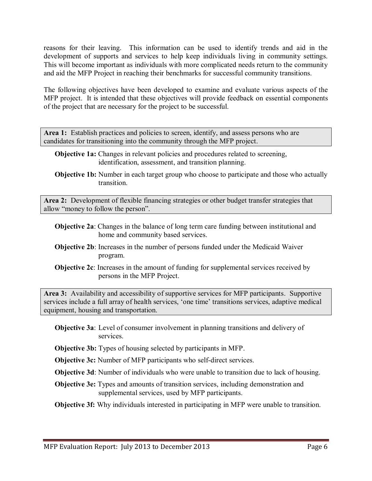reasons for their leaving. This information can be used to identify trends and aid in the development of supports and services to help keep individuals living in community settings. This will become important as individuals with more complicated needs return to the community and aid the MFP Project in reaching their benchmarks for successful community transitions.

The following objectives have been developed to examine and evaluate various aspects of the MFP project. It is intended that these objectives will provide feedback on essential components of the project that are necessary for the project to be successful.

Area 1: Establish practices and policies to screen, identify, and assess persons who are candidates for transitioning into the community through the MFP project.

- **Objective 1a:** Changes in relevant policies and procedures related to screening, identification, assessment, and transition planning.
- **Objective 1b:** Number in each target group who choose to participate and those who actually transition.

**Area 2:** Development of flexible financing strategies or other budget transfer strategies that allow "money to follow the person".

- **Objective 2a**: Changes in the balance of long term care funding between institutional and home and community based services.
- **Objective 2b**: Increases in the number of persons funded under the Medicaid Waiver program.
- **Objective 2c**: Increases in the amount of funding for supplemental services received by persons in the MFP Project.

**Area 3:** Availability and accessibility of supportive services for MFP participants. Supportive services include a full array of health services, 'one time' transitions services, adaptive medical equipment, housing and transportation.

- **Objective 3a**: Level of consumer involvement in planning transitions and delivery of services.
- **Objective 3b:** Types of housing selected by participants in MFP.

**Objective 3c:** Number of MFP participants who self-direct services.

**Objective 3d**: Number of individuals who were unable to transition due to lack of housing.

**Objective 3e:** Types and amounts of transition services, including demonstration and supplemental services, used by MFP participants.

**Objective 3f:** Why individuals interested in participating in MFP were unable to transition.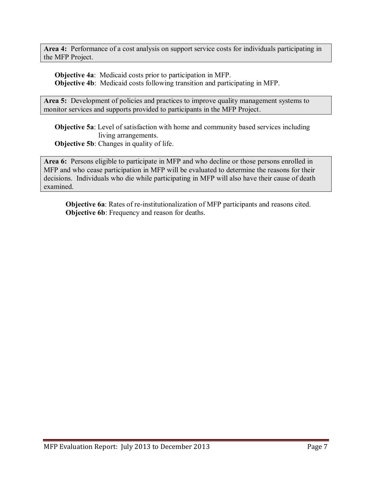**Area 4:** Performance of a cost analysis on support service costs for individuals participating in the MFP Project.

**Objective 4a**: Medicaid costs prior to participation in MFP. **Objective 4b**: Medicaid costs following transition and participating in MFP.

Area 5: Development of policies and practices to improve quality management systems to monitor services and supports provided to participants in the MFP Project.

**Objective 5a**: Level of satisfaction with home and community based services including living arrangements. **Objective 5b:** Changes in quality of life.

**Area 6:** Persons eligible to participate in MFP and who decline or those persons enrolled in MFP and who cease participation in MFP will be evaluated to determine the reasons for their decisions. Individuals who die while participating in MFP will also have their cause of death examined.

**Objective 6a**: Rates of re-institutionalization of MFP participants and reasons cited. **Objective 6b**: Frequency and reason for deaths.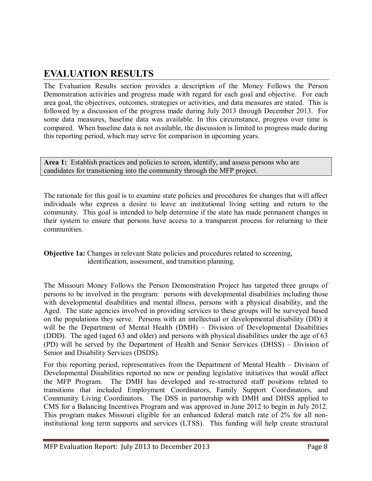# **EVALUATION RESULTS**

The Evaluation Results section provides a description of the Money Follows the Person Demonstration activities and progress made with regard for each goal and objective. For each area goal, the objectives, outcomes, strategies or activities, and data measures are stated. This is followed by a discussion of the progress made during July 2013 through December 2013. For some data measures, baseline data was available. In this circumstance, progress over time is compared. When baseline data is not available, the discussion is limited to progress made during this reporting period, which may serve for comparison in upcoming years.

Area 1: Establish practices and policies to screen, identify, and assess persons who are candidates for transitioning into the community through the MFP project.

The rationale for this goal is to examine state policies and procedures for changes that will affect individuals who express a desire to leave an institutional living setting and return to the community. This goal is intended to help determine if the state has made permanent changes in their system to ensure that persons have access to a transparent process for returning to their communities.

#### **Objective 1a:** Changes in relevant State policies and procedures related to screening, identification, assessment, and transition planning.

The Missouri Money Follows the Person Demonstration Project has targeted three groups of persons to be involved in the program: persons with developmental disabilities including those with developmental disabilities and mental illness, persons with a physical disability, and the Aged. The state agencies involved in providing services to these groups will be surveyed based on the populations they serve. Persons with an intellectual or developmental disability (DD) it will be the Department of Mental Health (DMH) – Division of Developmental Disabilities (DDD). The aged (aged 63 and older) and persons with physical disabilities under the age of 63 (PD) will be served by the Department of Health and Senior Services (DHSS) – Division of Senior and Disability Services (DSDS).

For this reporting period, representatives from the Department of Mental Health – Division of Developmental Disabilities reported no new or pending legislative initiatives that would affect the MFP Program. The DMH has developed and re-structured staff positions related to transitions that included Employment Coordinators, Family Support Coordinators, and Community Living Coordinators. The DSS in partnership with DMH and DHSS applied to CMS for a Balancing Incentives Program and was approved in June 2012 to begin in July 2012. This program makes Missouri eligible for an enhanced federal match rate of 2% for all noninstitutional long term supports and services (LTSS). This funding will help create structural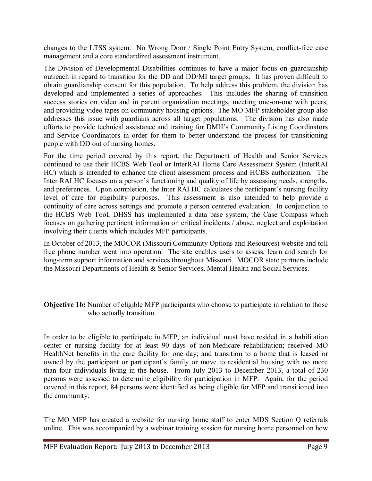changes to the LTSS system: No Wrong Door / Single Point Entry System, conflict-free case management and a core standardized assessment instrument.

The Division of Developmental Disabilities continues to have a major focus on guardianship outreach in regard to transition for the DD and DD/MI target groups. It has proven difficult to obtain guardianship consent for this population. To help address this problem, the division has developed and implemented a series of approaches. This includes the sharing of transition success stories on video and in parent organization meetings, meeting one-on-one with peers, and providing video tapes on community housing options. The MO MFP stakeholder group also addresses this issue with guardians across all target populations. The division has also made efforts to provide technical assistance and training for DMH's Community Living Coordinators and Service Coordinators in order for them to better understand the process for transitioning people with DD out of nursing homes.

For the time period covered by this report, the Department of Health and Senior Services continued to use their HCBS Web Tool or InterRAI Home Care Assessment System (InterRAI HC) which is intended to enhance the client assessment process and HCBS authorization. The Inter RAI HC focuses on a person's functioning and quality of life by assessing needs, strengths, and preferences. Upon completion, the Inter RAI HC calculates the participant's nursing facility level of care for eligibility purposes. This assessment is also intended to help provide a continuity of care across settings and promote a person centered evaluation. In conjunction to the HCBS Web Tool, DHSS has implemented a data base system, the Case Compass which focuses on gathering pertinent information on critical incidents / abuse, neglect and exploitation involving their clients which includes MFP participants.

In October of 2013, the MOCOR (Missouri Community Options and Resources) website and toll free phone number went into operation. The site enables users to assess, learn and search for long-term support information and services throughout Missouri. MOCOR state partners include the Missouri Departments of Health & Senior Services, Mental Health and Social Services.

#### **Objective 1b:** Number of eligible MFP participants who choose to participate in relation to those who actually transition.

In order to be eligible to participate in MFP, an individual must have resided in a habilitation center or nursing facility for at least 90 days of non-Medicare rehabilitation; received MO HealthNet benefits in the care facility for one day; and transition to a home that is leased or owned by the participant or participant's family or move to residential housing with no more than four individuals living in the house. From July 2013 to December 2013, a total of 230 persons were assessed to determine eligibility for participation in MFP. Again, for the period covered in this report, 84 persons were identified as being eligible for MFP and transitioned into the community.

The MO MFP has created a website for nursing home staff to enter MDS Section Q referrals online. This was accompanied by a webinar training session for nursing home personnel on how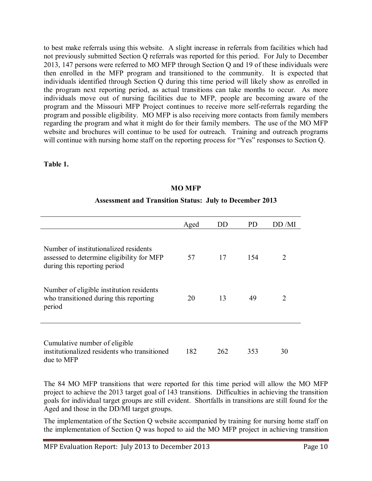to best make referrals using this website. A slight increase in referrals from facilities which had not previously submitted Section Q referrals was reported for this period. For July to December 2013, 147 persons were referred to MO MFP through Section Q and 19 of these individuals were then enrolled in the MFP program and transitioned to the community. It is expected that individuals identified through Section Q during this time period will likely show as enrolled in the program next reporting period, as actual transitions can take months to occur. As more individuals move out of nursing facilities due to MFP, people are becoming aware of the program and the Missouri MFP Project continues to receive more self-referrals regarding the program and possible eligibility. MO MFP is also receiving more contacts from family members regarding the program and what it might do for their family members. The use of the MO MFP website and brochures will continue to be used for outreach. Training and outreach programs will continue with nursing home staff on the reporting process for "Yes" responses to Section Q.

#### **Table 1.**

|                                                                                                                    | Aged | DD  | PD. | $D$ $D$ /MI |
|--------------------------------------------------------------------------------------------------------------------|------|-----|-----|-------------|
| Number of institutionalized residents<br>assessed to determine eligibility for MFP<br>during this reporting period | 57   | 17  | 154 | 2           |
| Number of eligible institution residents<br>who transitioned during this reporting<br>period                       | 20   | 13  | 49  | 2           |
| Cumulative number of eligible<br>institutionalized residents who transitioned<br>due to MFP                        | 182  | 262 | 353 | 30          |

## **MO MFP**

#### **Assessment and Transition Status: July to December 2013**

The 84 MO MFP transitions that were reported for this time period will allow the MO MFP project to achieve the 2013 target goal of 143 transitions. Difficulties in achieving the transition goals for individual target groups are still evident. Shortfalls in transitions are still found for the Aged and those in the DD/MI target groups.

The implementation of the Section Q website accompanied by training for nursing home staff on the implementation of Section Q was hoped to aid the MO MFP project in achieving transition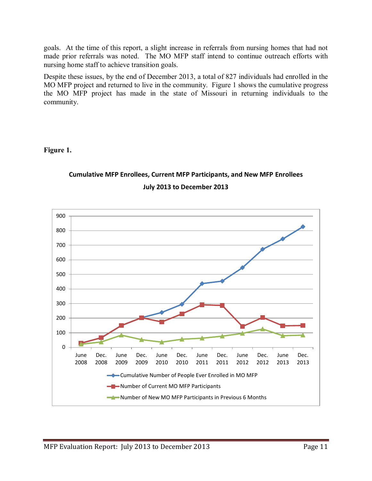goals. At the time of this report, a slight increase in referrals from nursing homes that had not made prior referrals was noted. The MO MFP staff intend to continue outreach efforts with nursing home staff to achieve transition goals.

Despite these issues, by the end of December 2013, a total of 827 individuals had enrolled in the MO MFP project and returned to live in the community. Figure 1 shows the cumulative progress the MO MFP project has made in the state of Missouri in returning individuals to the community.

#### **Figure 1.**



#### **July 2013 to December 2013**

**Cumulative MFP Enrollees, Current MFP Participants, and New MFP Enrollees**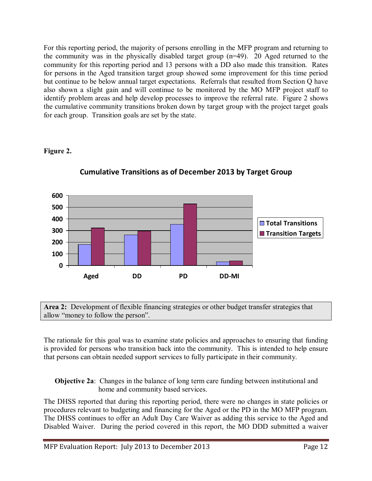For this reporting period, the majority of persons enrolling in the MFP program and returning to the community was in the physically disabled target group (n=49). 20 Aged returned to the community for this reporting period and 13 persons with a DD also made this transition. Rates for persons in the Aged transition target group showed some improvement for this time period but continue to be below annual target expectations. Referrals that resulted from Section Q have also shown a slight gain and will continue to be monitored by the MO MFP project staff to identify problem areas and help develop processes to improve the referral rate. Figure 2 shows the cumulative community transitions broken down by target group with the project target goals for each group. Transition goals are set by the state.

## **Figure 2.**



**Cumulative Transitions as of December 2013 by Target Group**

**Area 2:** Development of flexible financing strategies or other budget transfer strategies that allow "money to follow the person".

The rationale for this goal was to examine state policies and approaches to ensuring that funding is provided for persons who transition back into the community. This is intended to help ensure that persons can obtain needed support services to fully participate in their community.

#### **Objective 2a**: Changes in the balance of long term care funding between institutional and home and community based services.

The DHSS reported that during this reporting period, there were no changes in state policies or procedures relevant to budgeting and financing for the Aged or the PD in the MO MFP program. The DHSS continues to offer an Adult Day Care Waiver as adding this service to the Aged and Disabled Waiver. During the period covered in this report, the MO DDD submitted a waiver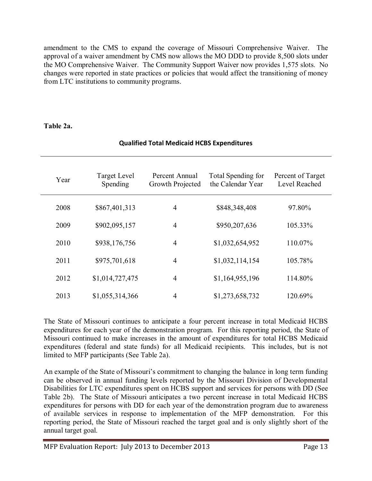amendment to the CMS to expand the coverage of Missouri Comprehensive Waiver. The approval of a waiver amendment by CMS now allows the MO DDD to provide 8,500 slots under the MO Comprehensive Waiver. The Community Support Waiver now provides 1,575 slots. No changes were reported in state practices or policies that would affect the transitioning of money from LTC institutions to community programs.

#### **Table 2a.**

| Year | Target Level<br>Spending | Percent Annual<br>Growth Projected | Total Spending for<br>the Calendar Year | Percent of Target<br>Level Reached |
|------|--------------------------|------------------------------------|-----------------------------------------|------------------------------------|
| 2008 | \$867,401,313            | $\overline{4}$                     | \$848,348,408                           | 97.80%                             |
| 2009 | \$902,095,157            | $\overline{4}$                     | \$950,207,636                           | 105.33%                            |
| 2010 | \$938,176,756            | $\overline{4}$                     | \$1,032,654,952                         | 110.07%                            |
| 2011 | \$975,701,618            | $\overline{4}$                     | \$1,032,114,154                         | 105.78%                            |
| 2012 | \$1,014,727,475          | $\overline{4}$                     | \$1,164,955,196                         | 114.80%                            |
| 2013 | \$1,055,314,366          | 4                                  | \$1,273,658,732                         | 120.69%                            |

#### **Qualified Total Medicaid HCBS Expenditures**

The State of Missouri continues to anticipate a four percent increase in total Medicaid HCBS expenditures for each year of the demonstration program. For this reporting period, the State of Missouri continued to make increases in the amount of expenditures for total HCBS Medicaid expenditures (federal and state funds) for all Medicaid recipients. This includes, but is not limited to MFP participants (See Table 2a).

An example of the State of Missouri's commitment to changing the balance in long term funding can be observed in annual funding levels reported by the Missouri Division of Developmental Disabilities for LTC expenditures spent on HCBS support and services for persons with DD (See Table 2b). The State of Missouri anticipates a two percent increase in total Medicaid HCBS expenditures for persons with DD for each year of the demonstration program due to awareness of available services in response to implementation of the MFP demonstration. For this reporting period, the State of Missouri reached the target goal and is only slightly short of the annual target goal.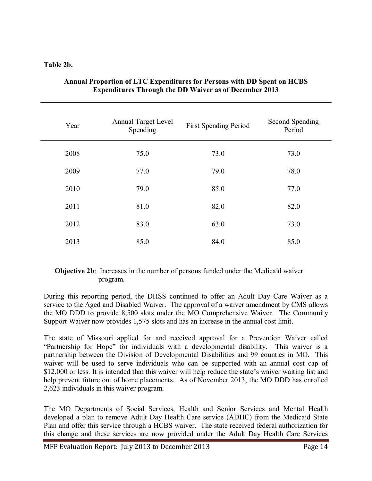#### **Table 2b.**

| Year | <b>Annual Target Level</b><br>Spending | <b>First Spending Period</b> | Second Spending<br>Period |
|------|----------------------------------------|------------------------------|---------------------------|
| 2008 | 75.0                                   | 73.0                         | 73.0                      |
| 2009 | 77.0                                   | 79.0                         | 78.0                      |
| 2010 | 79.0                                   | 85.0                         | 77.0                      |
| 2011 | 81.0                                   | 82.0                         | 82.0                      |
| 2012 | 83.0                                   | 63.0                         | 73.0                      |
| 2013 | 85.0                                   | 84.0                         | 85.0                      |

#### **Annual Proportion of LTC Expenditures for Persons with DD Spent on HCBS Expenditures Through the DD Waiver as of December 2013**

#### **Objective 2b**: Increases in the number of persons funded under the Medicaid waiver program.

During this reporting period, the DHSS continued to offer an Adult Day Care Waiver as a service to the Aged and Disabled Waiver. The approval of a waiver amendment by CMS allows the MO DDD to provide 8,500 slots under the MO Comprehensive Waiver. The Community Support Waiver now provides 1,575 slots and has an increase in the annual cost limit.

The state of Missouri applied for and received approval for a Prevention Waiver called "Partnership for Hope" for individuals with a developmental disability. This waiver is a partnership between the Division of Developmental Disabilities and 99 counties in MO. This waiver will be used to serve individuals who can be supported with an annual cost cap of \$12,000 or less. It is intended that this waiver will help reduce the state's waiver waiting list and help prevent future out of home placements. As of November 2013, the MO DDD has enrolled 2,623 individuals in this waiver program.

The MO Departments of Social Services, Health and Senior Services and Mental Health developed a plan to remove Adult Day Health Care service (ADHC) from the Medicaid State Plan and offer this service through a HCBS waiver. The state received federal authorization for this change and these services are now provided under the Adult Day Health Care Services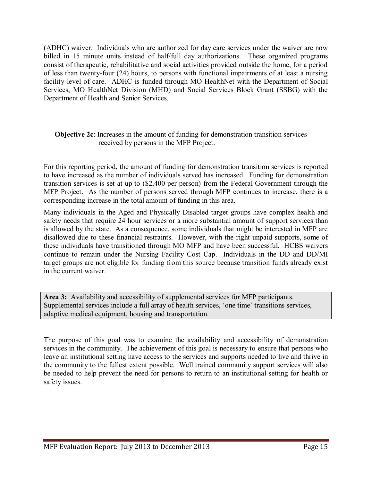(ADHC) waiver. Individuals who are authorized for day care services under the waiver are now billed in 15 minute units instead of half/full day authorizations. These organized programs consist of therapeutic, rehabilitative and social activities provided outside the home, for a period of less than twenty-four (24) hours, to persons with functional impairments of at least a nursing facility level of care. ADHC is funded through MO HealthNet with the Department of Social Services, MO HealthNet Division (MHD) and Social Services Block Grant (SSBG) with the Department of Health and Senior Services.

#### **Objective 2c**: Increases in the amount of funding for demonstration transition services received by persons in the MFP Project.

For this reporting period, the amount of funding for demonstration transition services is reported to have increased as the number of individuals served has increased. Funding for demonstration transition services is set at up to (\$2,400 per person) from the Federal Government through the MFP Project. As the number of persons served through MFP continues to increase, there is a corresponding increase in the total amount of funding in this area.

Many individuals in the Aged and Physically Disabled target groups have complex health and safety needs that require 24 hour services or a more substantial amount of support services than is allowed by the state. As a consequence, some individuals that might be interested in MFP are disallowed due to these financial restraints. However, with the right unpaid supports, some of these individuals have transitioned through MO MFP and have been successful. HCBS waivers continue to remain under the Nursing Facility Cost Cap. Individuals in the DD and DD/MI target groups are not eligible for funding from this source because transition funds already exist in the current waiver.

**Area 3:** Availability and accessibility of supplemental services for MFP participants. Supplemental services include a full array of health services, 'one time' transitions services, adaptive medical equipment, housing and transportation.

The purpose of this goal was to examine the availability and accessibility of demonstration services in the community. The achievement of this goal is necessary to ensure that persons who leave an institutional setting have access to the services and supports needed to live and thrive in the community to the fullest extent possible. Well trained community support services will also be needed to help prevent the need for persons to return to an institutional setting for health or safety issues.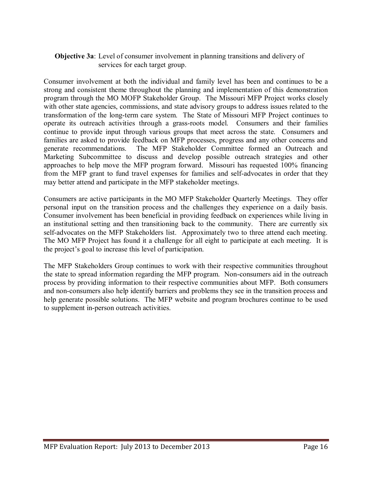#### **Objective 3a**: Level of consumer involvement in planning transitions and delivery of services for each target group.

Consumer involvement at both the individual and family level has been and continues to be a strong and consistent theme throughout the planning and implementation of this demonstration program through the MO MOFP Stakeholder Group. The Missouri MFP Project works closely with other state agencies, commissions, and state advisory groups to address issues related to the transformation of the long-term care system. The State of Missouri MFP Project continues to operate its outreach activities through a grass-roots model. Consumers and their families continue to provide input through various groups that meet across the state. Consumers and families are asked to provide feedback on MFP processes, progress and any other concerns and generate recommendations. The MFP Stakeholder Committee formed an Outreach and Marketing Subcommittee to discuss and develop possible outreach strategies and other approaches to help move the MFP program forward. Missouri has requested 100% financing from the MFP grant to fund travel expenses for families and self-advocates in order that they may better attend and participate in the MFP stakeholder meetings.

Consumers are active participants in the MO MFP Stakeholder Quarterly Meetings. They offer personal input on the transition process and the challenges they experience on a daily basis. Consumer involvement has been beneficial in providing feedback on experiences while living in an institutional setting and then transitioning back to the community. There are currently six self-advocates on the MFP Stakeholders list. Approximately two to three attend each meeting. The MO MFP Project has found it a challenge for all eight to participate at each meeting. It is the project's goal to increase this level of participation.

The MFP Stakeholders Group continues to work with their respective communities throughout the state to spread information regarding the MFP program. Non-consumers aid in the outreach process by providing information to their respective communities about MFP. Both consumers and non-consumers also help identify barriers and problems they see in the transition process and help generate possible solutions. The MFP website and program brochures continue to be used to supplement in-person outreach activities.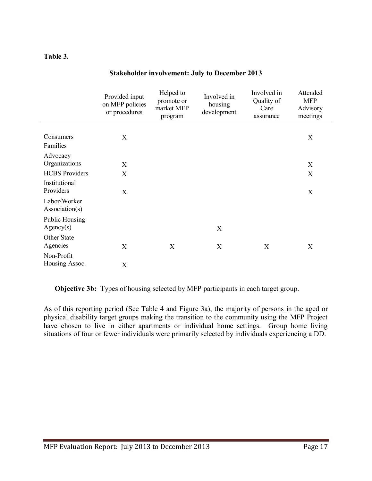#### **Table 3.**

|                                    | Provided input<br>on MFP policies<br>or procedures | Helped to<br>promote or<br>market MFP<br>program | Involved in<br>housing<br>development | Involved in<br>Quality of<br>Care<br>assurance | Attended<br><b>MFP</b><br>Advisory<br>meetings |
|------------------------------------|----------------------------------------------------|--------------------------------------------------|---------------------------------------|------------------------------------------------|------------------------------------------------|
|                                    |                                                    |                                                  |                                       |                                                |                                                |
| Consumers<br>Families              | X                                                  |                                                  |                                       |                                                | X                                              |
| Advocacy                           |                                                    |                                                  |                                       |                                                |                                                |
| Organizations                      | X                                                  |                                                  |                                       |                                                | X                                              |
| <b>HCBS</b> Providers              | X                                                  |                                                  |                                       |                                                | X                                              |
| Institutional<br>Providers         | X                                                  |                                                  |                                       |                                                | X                                              |
| Labor/Worker<br>Association(s)     |                                                    |                                                  |                                       |                                                |                                                |
| <b>Public Housing</b><br>Agency(s) |                                                    |                                                  | X                                     |                                                |                                                |
| Other State                        |                                                    |                                                  |                                       |                                                |                                                |
| Agencies                           | X                                                  | X                                                | X                                     | X                                              | X                                              |
| Non-Profit                         |                                                    |                                                  |                                       |                                                |                                                |
| Housing Assoc.                     | X                                                  |                                                  |                                       |                                                |                                                |

#### **Stakeholder involvement: July to December 2013**

**Objective 3b:** Types of housing selected by MFP participants in each target group.

As of this reporting period (See Table 4 and Figure 3a), the majority of persons in the aged or physical disability target groups making the transition to the community using the MFP Project have chosen to live in either apartments or individual home settings. Group home living situations of four or fewer individuals were primarily selected by individuals experiencing a DD.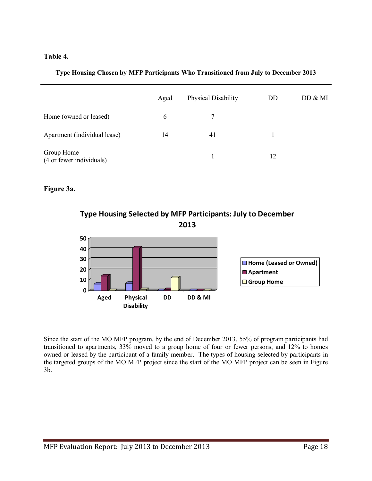#### **Table 4.**

#### **Type Housing Chosen by MFP Participants Who Transitioned from July to December 2013**

|                                        | Aged          | Physical Disability | DD | DD & MI |
|----------------------------------------|---------------|---------------------|----|---------|
| Home (owned or leased)                 | $\mathfrak b$ |                     |    |         |
| Apartment (individual lease)           | 14            | 41                  |    |         |
| Group Home<br>(4 or fewer individuals) |               |                     | 12 |         |

#### **Figure 3a.**





Since the start of the MO MFP program, by the end of December 2013, 55% of program participants had transitioned to apartments, 33% moved to a group home of four or fewer persons, and 12% to homes owned or leased by the participant of a family member. The types of housing selected by participants in the targeted groups of the MO MFP project since the start of the MO MFP project can be seen in Figure 3b.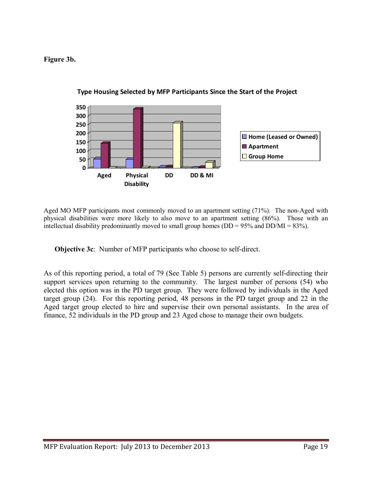**Figure 3b.** 



**Type Housing Selected by MFP Participants Since the Start of the Project**

Aged MO MFP participants most commonly moved to an apartment setting (71%). The non-Aged with physical disabilities were more likely to also move to an apartment setting (86%). Those with an intellectual disability predominantly moved to small group homes ( $DD = 95\%$  and  $DD/MI = 83\%$ ).

**Objective 3c**: Number of MFP participants who choose to self-direct.

As of this reporting period, a total of 79 (See Table 5) persons are currently self-directing their support services upon returning to the community. The largest number of persons (54) who elected this option was in the PD target group. They were followed by individuals in the Aged target group (24). For this reporting period, 48 persons in the PD target group and 22 in the Aged target group elected to hire and supervise their own personal assistants. In the area of finance, 52 individuals in the PD group and 23 Aged chose to manage their own budgets.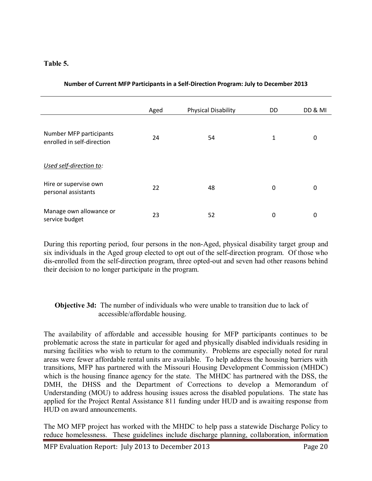#### **Table 5.**

|                                                       | Aged | <b>Physical Disability</b> | DD | DD & MI |
|-------------------------------------------------------|------|----------------------------|----|---------|
|                                                       |      |                            |    |         |
| Number MFP participants<br>enrolled in self-direction | 24   | 54                         | 1  | 0       |
| Used self-direction to:                               |      |                            |    |         |
| Hire or supervise own<br>personal assistants          | 22   | 48                         | 0  | 0       |
| Manage own allowance or<br>service budget             | 23   | 52                         | 0  | 0       |

#### **Number of Current MFP Participants in a Self-Direction Program: July to December 2013**

During this reporting period, four persons in the non-Aged, physical disability target group and six individuals in the Aged group elected to opt out of the self-direction program. Of those who dis-enrolled from the self-direction program, three opted-out and seven had other reasons behind their decision to no longer participate in the program.

#### **Objective 3d:** The number of individuals who were unable to transition due to lack of accessible/affordable housing.

The availability of affordable and accessible housing for MFP participants continues to be problematic across the state in particular for aged and physically disabled individuals residing in nursing facilities who wish to return to the community. Problems are especially noted for rural areas were fewer affordable rental units are available. To help address the housing barriers with transitions, MFP has partnered with the Missouri Housing Development Commission (MHDC) which is the housing finance agency for the state. The MHDC has partnered with the DSS, the DMH, the DHSS and the Department of Corrections to develop a Memorandum of Understanding (MOU) to address housing issues across the disabled populations. The state has applied for the Project Rental Assistance 811 funding under HUD and is awaiting response from HUD on award announcements.

The MO MFP project has worked with the MHDC to help pass a statewide Discharge Policy to reduce homelessness. These guidelines include discharge planning, collaboration, information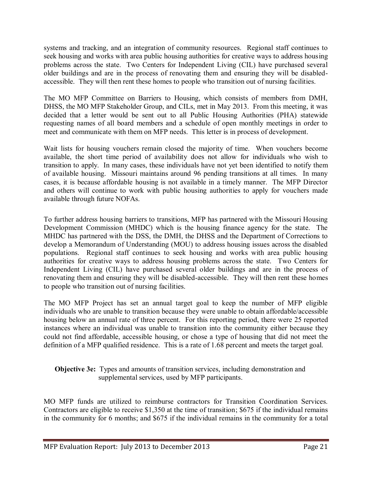systems and tracking, and an integration of community resources. Regional staff continues to seek housing and works with area public housing authorities for creative ways to address housing problems across the state. Two Centers for Independent Living (CIL) have purchased several older buildings and are in the process of renovating them and ensuring they will be disabledaccessible. They will then rent these homes to people who transition out of nursing facilities.

The MO MFP Committee on Barriers to Housing, which consists of members from DMH, DHSS, the MO MFP Stakeholder Group, and CILs, met in May 2013. From this meeting, it was decided that a letter would be sent out to all Public Housing Authorities (PHA) statewide requesting names of all board members and a schedule of open monthly meetings in order to meet and communicate with them on MFP needs. This letter is in process of development.

Wait lists for housing vouchers remain closed the majority of time. When vouchers become available, the short time period of availability does not allow for individuals who wish to transition to apply. In many cases, these individuals have not yet been identified to notify them of available housing. Missouri maintains around 96 pending transitions at all times. In many cases, it is because affordable housing is not available in a timely manner. The MFP Director and others will continue to work with public housing authorities to apply for vouchers made available through future NOFAs.

To further address housing barriers to transitions, MFP has partnered with the Missouri Housing Development Commission (MHDC) which is the housing finance agency for the state. The MHDC has partnered with the DSS, the DMH, the DHSS and the Department of Corrections to develop a Memorandum of Understanding (MOU) to address housing issues across the disabled populations. Regional staff continues to seek housing and works with area public housing authorities for creative ways to address housing problems across the state. Two Centers for Independent Living (CIL) have purchased several older buildings and are in the process of renovating them and ensuring they will be disabled-accessible. They will then rent these homes to people who transition out of nursing facilities.

The MO MFP Project has set an annual target goal to keep the number of MFP eligible individuals who are unable to transition because they were unable to obtain affordable/accessible housing below an annual rate of three percent. For this reporting period, there were 25 reported instances where an individual was unable to transition into the community either because they could not find affordable, accessible housing, or chose a type of housing that did not meet the definition of a MFP qualified residence. This is a rate of 1.68 percent and meets the target goal.

#### **Objective 3e:** Types and amounts of transition services, including demonstration and supplemental services, used by MFP participants.

MO MFP funds are utilized to reimburse contractors for Transition Coordination Services. Contractors are eligible to receive \$1,350 at the time of transition; \$675 if the individual remains in the community for 6 months; and \$675 if the individual remains in the community for a total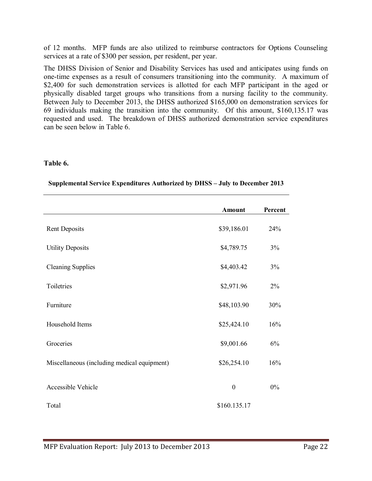of 12 months. MFP funds are also utilized to reimburse contractors for Options Counseling services at a rate of \$300 per session, per resident, per year.

The DHSS Division of Senior and Disability Services has used and anticipates using funds on one-time expenses as a result of consumers transitioning into the community. A maximum of \$2,400 for such demonstration services is allotted for each MFP participant in the aged or physically disabled target groups who transitions from a nursing facility to the community. Between July to December 2013, the DHSS authorized \$165,000 on demonstration services for 69 individuals making the transition into the community. Of this amount, \$160,135.17 was requested and used. The breakdown of DHSS authorized demonstration service expenditures can be seen below in Table 6.

#### **Table 6.**

|                                             | Amount           | Percent |
|---------------------------------------------|------------------|---------|
| <b>Rent Deposits</b>                        | \$39,186.01      | 24%     |
| <b>Utility Deposits</b>                     | \$4,789.75       | 3%      |
| <b>Cleaning Supplies</b>                    | \$4,403.42       | 3%      |
| Toiletries                                  | \$2,971.96       | 2%      |
| Furniture                                   | \$48,103.90      | 30%     |
| Household Items                             | \$25,424.10      | 16%     |
| Groceries                                   | \$9,001.66       | 6%      |
| Miscellaneous (including medical equipment) | \$26,254.10      | 16%     |
| Accessible Vehicle                          | $\boldsymbol{0}$ | $0\%$   |
| Total                                       | \$160.135.17     |         |

#### **Supplemental Service Expenditures Authorized by DHSS – July to December 2013**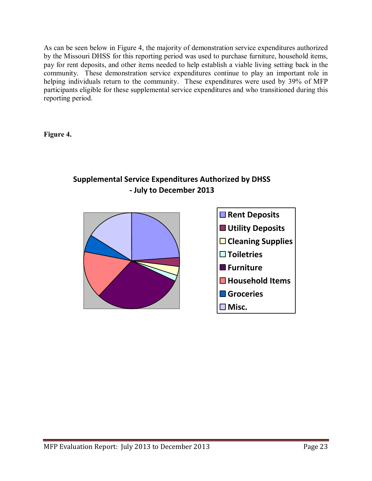As can be seen below in Figure 4, the majority of demonstration service expenditures authorized by the Missouri DHSS for this reporting period was used to purchase furniture, household items, pay for rent deposits, and other items needed to help establish a viable living setting back in the community. These demonstration service expenditures continue to play an important role in helping individuals return to the community. These expenditures were used by 39% of MFP participants eligible for these supplemental service expenditures and who transitioned during this reporting period.

**Figure 4.** 



## **Supplemental Service Expenditures Authorized by DHSS - July to December 2013**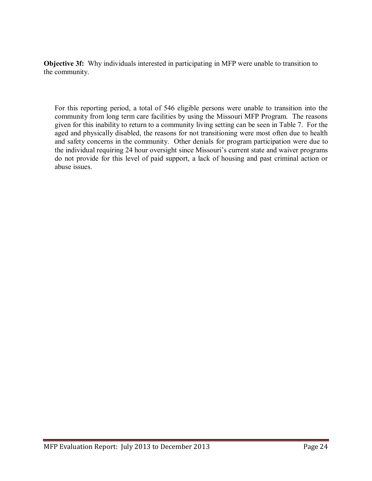**Objective 3f:** Why individuals interested in participating in MFP were unable to transition to the community.

For this reporting period, a total of 546 eligible persons were unable to transition into the community from long term care facilities by using the Missouri MFP Program. The reasons given for this inability to return to a community living setting can be seen in Table 7. For the aged and physically disabled, the reasons for not transitioning were most often due to health and safety concerns in the community. Other denials for program participation were due to the individual requiring 24 hour oversight since Missouri's current state and waiver programs do not provide for this level of paid support, a lack of housing and past criminal action or abuse issues.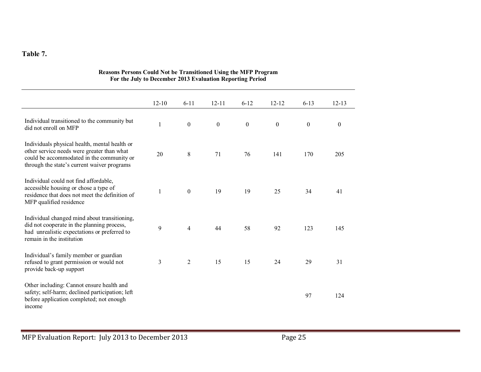#### **Table 7.**

|                                                                                                                                                                                         | $12 - 10$    | $6 - 11$         | $12 - 11$        | $6 - 12$         | $12 - 12$        | $6 - 13$         | $12 - 13$        |
|-----------------------------------------------------------------------------------------------------------------------------------------------------------------------------------------|--------------|------------------|------------------|------------------|------------------|------------------|------------------|
| Individual transitioned to the community but<br>did not enroll on MFP                                                                                                                   | $\mathbf{1}$ | $\boldsymbol{0}$ | $\boldsymbol{0}$ | $\boldsymbol{0}$ | $\boldsymbol{0}$ | $\boldsymbol{0}$ | $\boldsymbol{0}$ |
| Individuals physical health, mental health or<br>other service needs were greater than what<br>could be accommodated in the community or<br>through the state's current waiver programs | 20           | 8                | 71               | 76               | 141              | 170              | 205              |
| Individual could not find affordable,<br>accessible housing or chose a type of<br>residence that does not meet the definition of<br>MFP qualified residence                             | 1            | $\theta$         | 19               | 19               | 25               | 34               | 41               |
| Individual changed mind about transitioning,<br>did not cooperate in the planning process,<br>had unrealistic expectations or preferred to<br>remain in the institution                 | 9            | $\overline{4}$   | 44               | 58               | 92               | 123              | 145              |
| Individual's family member or guardian<br>refused to grant permission or would not<br>provide back-up support                                                                           | 3            | 2                | 15               | 15               | 24               | 29               | 31               |
| Other including: Cannot ensure health and<br>safety; self-harm; declined participation; left<br>before application completed; not enough<br>income                                      |              |                  |                  |                  |                  | 97               | 124              |

#### **Reasons Persons Could Not be Transitioned Using the MFP Program For the July to December 2013 Evaluation Reporting Period**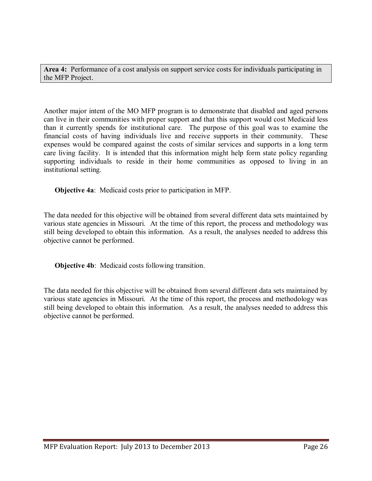**Area 4:** Performance of a cost analysis on support service costs for individuals participating in the MFP Project.

Another major intent of the MO MFP program is to demonstrate that disabled and aged persons can live in their communities with proper support and that this support would cost Medicaid less than it currently spends for institutional care. The purpose of this goal was to examine the financial costs of having individuals live and receive supports in their community. These expenses would be compared against the costs of similar services and supports in a long term care living facility. It is intended that this information might help form state policy regarding supporting individuals to reside in their home communities as opposed to living in an institutional setting.

**Objective 4a**: Medicaid costs prior to participation in MFP.

The data needed for this objective will be obtained from several different data sets maintained by various state agencies in Missouri. At the time of this report, the process and methodology was still being developed to obtain this information. As a result, the analyses needed to address this objective cannot be performed.

**Objective 4b**: Medicaid costs following transition.

The data needed for this objective will be obtained from several different data sets maintained by various state agencies in Missouri. At the time of this report, the process and methodology was still being developed to obtain this information. As a result, the analyses needed to address this objective cannot be performed.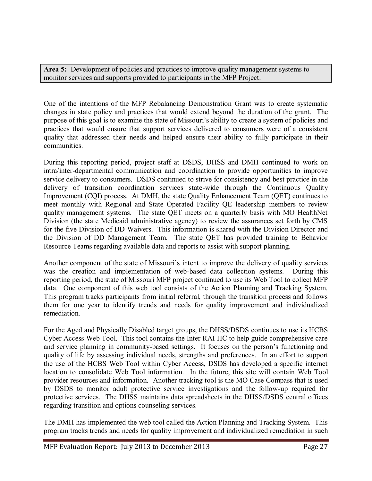Area 5: Development of policies and practices to improve quality management systems to monitor services and supports provided to participants in the MFP Project.

One of the intentions of the MFP Rebalancing Demonstration Grant was to create systematic changes in state policy and practices that would extend beyond the duration of the grant. The purpose of this goal is to examine the state of Missouri's ability to create a system of policies and practices that would ensure that support services delivered to consumers were of a consistent quality that addressed their needs and helped ensure their ability to fully participate in their communities.

During this reporting period, project staff at DSDS, DHSS and DMH continued to work on intra/inter-departmental communication and coordination to provide opportunities to improve service delivery to consumers. DSDS continued to strive for consistency and best practice in the delivery of transition coordination services state-wide through the Continuous Quality Improvement (CQI) process. At DMH, the state Quality Enhancement Team (QET) continues to meet monthly with Regional and State Operated Facility QE leadership members to review quality management systems. The state QET meets on a quarterly basis with MO HealthNet Division (the state Medicaid administrative agency) to review the assurances set forth by CMS for the five Division of DD Waivers. This information is shared with the Division Director and the Division of DD Management Team. The state QET has provided training to Behavior Resource Teams regarding available data and reports to assist with support planning.

Another component of the state of Missouri's intent to improve the delivery of quality services was the creation and implementation of web-based data collection systems. During this reporting period, the state of Missouri MFP project continued to use its Web Tool to collect MFP data. One component of this web tool consists of the Action Planning and Tracking System. This program tracks participants from initial referral, through the transition process and follows them for one year to identify trends and needs for quality improvement and individualized remediation.

For the Aged and Physically Disabled target groups, the DHSS/DSDS continues to use its HCBS Cyber Access Web Tool. This tool contains the Inter RAI HC to help guide comprehensive care and service planning in community-based settings. It focuses on the person's functioning and quality of life by assessing individual needs, strengths and preferences. In an effort to support the use of the HCBS Web Tool within Cyber Access, DSDS has developed a specific internet location to consolidate Web Tool information. In the future, this site will contain Web Tool provider resources and information. Another tracking tool is the MO Case Compass that is used by DSDS to monitor adult protective service investigations and the follow-up required for protective services. The DHSS maintains data spreadsheets in the DHSS/DSDS central offices regarding transition and options counseling services.

The DMH has implemented the web tool called the Action Planning and Tracking System. This program tracks trends and needs for quality improvement and individualized remediation in such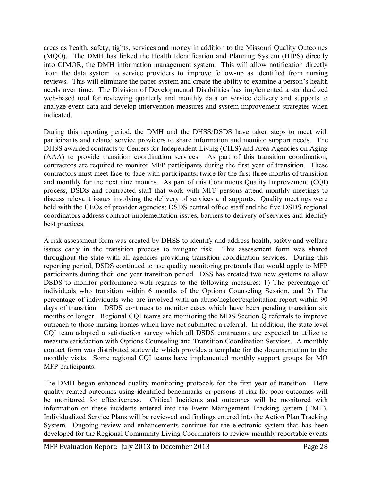areas as health, safety, tights, services and money in addition to the Missouri Quality Outcomes (MQO). The DMH has linked the Health Identification and Planning System (HIPS) directly into CIMOR, the DMH information management system. This will allow notification directly from the data system to service providers to improve follow-up as identified from nursing reviews. This will eliminate the paper system and create the ability to examine a person's health needs over time. The Division of Developmental Disabilities has implemented a standardized web-based tool for reviewing quarterly and monthly data on service delivery and supports to analyze event data and develop intervention measures and system improvement strategies when indicated.

During this reporting period, the DMH and the DHSS/DSDS have taken steps to meet with participants and related service providers to share information and monitor support needs. The DHSS awarded contracts to Centers for Independent Living (CILS) and Area Agencies on Aging (AAA) to provide transition coordination services. As part of this transition coordination, contractors are required to monitor MFP participants during the first year of transition. These contractors must meet face-to-face with participants; twice for the first three months of transition and monthly for the next nine months. As part of this Continuous Quality Improvement (CQI) process, DSDS and contracted staff that work with MFP persons attend monthly meetings to discuss relevant issues involving the delivery of services and supports. Quality meetings were held with the CEOs of provider agencies; DSDS central office staff and the five DSDS regional coordinators address contract implementation issues, barriers to delivery of services and identify best practices.

A risk assessment form was created by DHSS to identify and address health, safety and welfare issues early in the transition process to mitigate risk. This assessment form was shared throughout the state with all agencies providing transition coordination services. During this reporting period, DSDS continued to use quality monitoring protocols that would apply to MFP participants during their one year transition period. DSS has created two new systems to allow DSDS to monitor performance with regards to the following measures: 1) The percentage of individuals who transition within 6 months of the Options Counseling Session, and 2) The percentage of individuals who are involved with an abuse/neglect/exploitation report within 90 days of transition. DSDS continues to monitor cases which have been pending transition six months or longer. Regional CQI teams are monitoring the MDS Section Q referrals to improve outreach to those nursing homes which have not submitted a referral. In addition, the state level CQI team adopted a satisfaction survey which all DSDS contractors are expected to utilize to measure satisfaction with Options Counseling and Transition Coordination Services. A monthly contact form was distributed statewide which provides a template for the documentation to the monthly visits. Some regional CQI teams have implemented monthly support groups for MO MFP participants.

The DMH began enhanced quality monitoring protocols for the first year of transition. Here quality related outcomes using identified benchmarks or persons at risk for poor outcomes will be monitored for effectiveness. Critical Incidents and outcomes will be monitored with information on these incidents entered into the Event Management Tracking system (EMT). Individualized Service Plans will be reviewed and findings entered into the Action Plan Tracking System. Ongoing review and enhancements continue for the electronic system that has been developed for the Regional Community Living Coordinators to review monthly reportable events

MFP Evaluation Report: July 2013 to December 2013 **Page 28**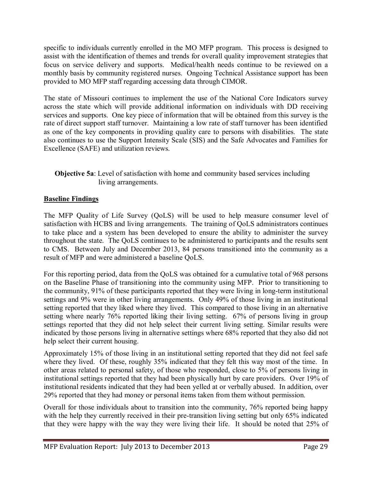specific to individuals currently enrolled in the MO MFP program. This process is designed to assist with the identification of themes and trends for overall quality improvement strategies that focus on service delivery and supports. Medical/health needs continue to be reviewed on a monthly basis by community registered nurses. Ongoing Technical Assistance support has been provided to MO MFP staff regarding accessing data through CIMOR.

The state of Missouri continues to implement the use of the National Core Indicators survey across the state which will provide additional information on individuals with DD receiving services and supports. One key piece of information that will be obtained from this survey is the rate of direct support staff turnover. Maintaining a low rate of staff turnover has been identified as one of the key components in providing quality care to persons with disabilities. The state also continues to use the Support Intensity Scale (SIS) and the Safe Advocates and Families for Excellence (SAFE) and utilization reviews.

#### **Objective 5a**: Level of satisfaction with home and community based services including living arrangements.

#### **Baseline Findings**

The MFP Quality of Life Survey (QoLS) will be used to help measure consumer level of satisfaction with HCBS and living arrangements. The training of QoLS administrators continues to take place and a system has been developed to ensure the ability to administer the survey throughout the state. The QoLS continues to be administered to participants and the results sent to CMS. Between July and December 2013, 84 persons transitioned into the community as a result of MFP and were administered a baseline QoLS.

For this reporting period, data from the QoLS was obtained for a cumulative total of 968 persons on the Baseline Phase of transitioning into the community using MFP. Prior to transitioning to the community, 91% of these participants reported that they were living in long-term institutional settings and 9% were in other living arrangements. Only 49% of those living in an institutional setting reported that they liked where they lived. This compared to those living in an alternative setting where nearly 76% reported liking their living setting. 67% of persons living in group settings reported that they did not help select their current living setting. Similar results were indicated by those persons living in alternative settings where 68% reported that they also did not help select their current housing.

Approximately 15% of those living in an institutional setting reported that they did not feel safe where they lived. Of these, roughly 35% indicated that they felt this way most of the time. In other areas related to personal safety, of those who responded, close to 5% of persons living in institutional settings reported that they had been physically hurt by care providers. Over 19% of institutional residents indicated that they had been yelled at or verbally abused. In addition, over 29% reported that they had money or personal items taken from them without permission.

Overall for those individuals about to transition into the community, 76% reported being happy with the help they currently received in their pre-transition living setting but only 65% indicated that they were happy with the way they were living their life. It should be noted that 25% of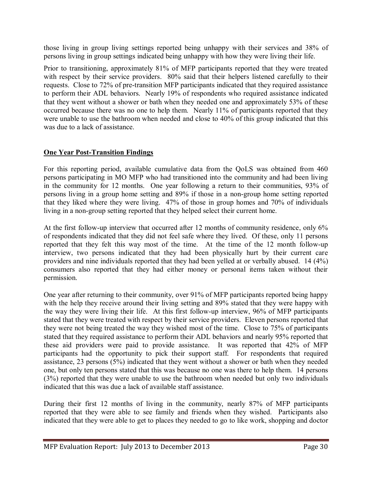those living in group living settings reported being unhappy with their services and 38% of persons living in group settings indicated being unhappy with how they were living their life.

Prior to transitioning, approximately 81% of MFP participants reported that they were treated with respect by their service providers. 80% said that their helpers listened carefully to their requests. Close to 72% of pre-transition MFP participants indicated that they required assistance to perform their ADL behaviors. Nearly 19% of respondents who required assistance indicated that they went without a shower or bath when they needed one and approximately 53% of these occurred because there was no one to help them. Nearly 11% of participants reported that they were unable to use the bathroom when needed and close to 40% of this group indicated that this was due to a lack of assistance.

#### **One Year Post-Transition Findings**

For this reporting period, available cumulative data from the QoLS was obtained from 460 persons participating in MO MFP who had transitioned into the community and had been living in the community for 12 months. One year following a return to their communities, 93% of persons living in a group home setting and 89% if those in a non-group home setting reported that they liked where they were living. 47% of those in group homes and 70% of individuals living in a non-group setting reported that they helped select their current home.

At the first follow-up interview that occurred after 12 months of community residence, only 6% of respondents indicated that they did not feel safe where they lived. Of these, only 11 persons reported that they felt this way most of the time. At the time of the 12 month follow-up interview, two persons indicated that they had been physically hurt by their current care providers and nine individuals reported that they had been yelled at or verbally abused. 14 (4%) consumers also reported that they had either money or personal items taken without their permission.

One year after returning to their community, over 91% of MFP participants reported being happy with the help they receive around their living setting and 89% stated that they were happy with the way they were living their life. At this first follow-up interview, 96% of MFP participants stated that they were treated with respect by their service providers. Eleven persons reported that they were not being treated the way they wished most of the time. Close to 75% of participants stated that they required assistance to perform their ADL behaviors and nearly 95% reported that these aid providers were paid to provide assistance. It was reported that 42% of MFP participants had the opportunity to pick their support staff. For respondents that required assistance, 23 persons  $(5%)$  indicated that they went without a shower or bath when they needed one, but only ten persons stated that this was because no one was there to help them. 14 persons (3%) reported that they were unable to use the bathroom when needed but only two individuals indicated that this was due a lack of available staff assistance.

During their first 12 months of living in the community, nearly 87% of MFP participants reported that they were able to see family and friends when they wished. Participants also indicated that they were able to get to places they needed to go to like work, shopping and doctor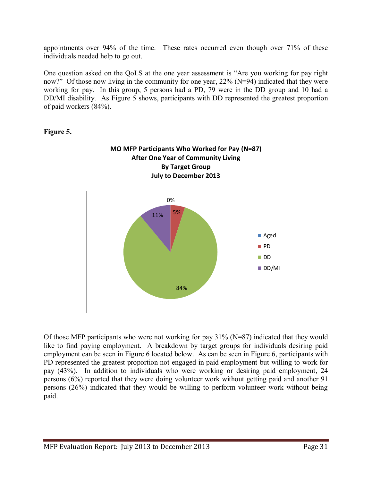appointments over 94% of the time. These rates occurred even though over 71% of these individuals needed help to go out.

One question asked on the QoLS at the one year assessment is "Are you working for pay right now?" Of those now living in the community for one year, 22% (N=94) indicated that they were working for pay. In this group, 5 persons had a PD, 79 were in the DD group and 10 had a DD/MI disability. As Figure 5 shows, participants with DD represented the greatest proportion of paid workers (84%).



**Figure 5.** 

Of those MFP participants who were not working for pay 31% (N=87) indicated that they would like to find paying employment. A breakdown by target groups for individuals desiring paid employment can be seen in Figure 6 located below. As can be seen in Figure 6, participants with PD represented the greatest proportion not engaged in paid employment but willing to work for pay (43%). In addition to individuals who were working or desiring paid employment, 24 persons (6%) reported that they were doing volunteer work without getting paid and another 91 persons (26%) indicated that they would be willing to perform volunteer work without being paid.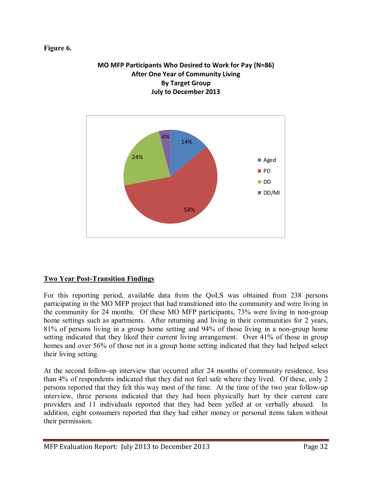#### **Figure 6.**



58%

DD/MI

# **MO MFP Participants Who Desired to Work for Pay (N=86)**

#### **Two Year Post-Transition Findings**

For this reporting period, available data from the QoLS was obtained from 238 persons participating in the MO MFP project that had transitioned into the community and were living in the community for 24 months. Of these MO MFP participants, 73% were living in non-group home settings such as apartments. After returning and living in their communities for 2 years, 81% of persons living in a group home setting and 94% of those living in a non-group home setting indicated that they liked their current living arrangement. Over 41% of those in group homes and over 56% of those not in a group home setting indicated that they had helped select their living setting.

At the second follow-up interview that occurred after 24 months of community residence, less than 4% of respondents indicated that they did not feel safe where they lived. Of these, only 2 persons reported that they felt this way most of the time. At the time of the two year follow-up interview, three persons indicated that they had been physically hurt by their current care providers and 11 individuals reported that they had been yelled at or verbally abused. In addition, eight consumers reported that they had either money or personal items taken without their permission.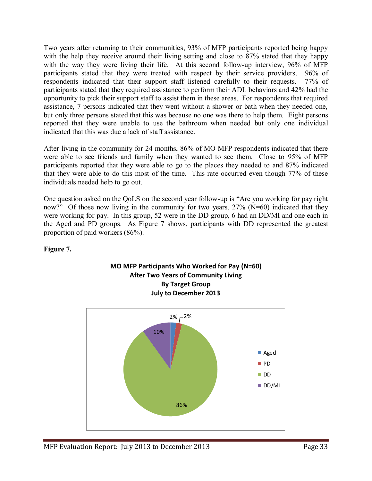Two years after returning to their communities, 93% of MFP participants reported being happy with the help they receive around their living setting and close to 87% stated that they happy with the way they were living their life. At this second follow-up interview, 96% of MFP participants stated that they were treated with respect by their service providers. 96% of respondents indicated that their support staff listened carefully to their requests. 77% of participants stated that they required assistance to perform their ADL behaviors and 42% had the opportunity to pick their support staff to assist them in these areas. For respondents that required assistance, 7 persons indicated that they went without a shower or bath when they needed one, but only three persons stated that this was because no one was there to help them. Eight persons reported that they were unable to use the bathroom when needed but only one individual indicated that this was due a lack of staff assistance.

After living in the community for 24 months, 86% of MO MFP respondents indicated that there were able to see friends and family when they wanted to see them. Close to 95% of MFP participants reported that they were able to go to the places they needed to and 87% indicated that they were able to do this most of the time. This rate occurred even though 77% of these individuals needed help to go out.

One question asked on the QoLS on the second year follow-up is "Are you working for pay right now?" Of those now living in the community for two years, 27% (N=60) indicated that they were working for pay. In this group, 52 were in the DD group, 6 had an DD/MI and one each in the Aged and PD groups. As Figure 7 shows, participants with DD represented the greatest proportion of paid workers (86%).

#### **Figure 7.**



#### **MO MFP Participants Who Worked for Pay (N=60) After Two Years of Community Living By Target Group July to December 2013**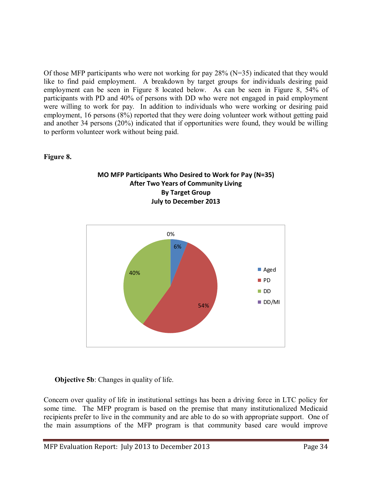Of those MFP participants who were not working for pay 28% (N=35) indicated that they would like to find paid employment. A breakdown by target groups for individuals desiring paid employment can be seen in Figure 8 located below. As can be seen in Figure 8, 54% of participants with PD and 40% of persons with DD who were not engaged in paid employment were willing to work for pay. In addition to individuals who were working or desiring paid employment, 16 persons (8%) reported that they were doing volunteer work without getting paid and another 34 persons (20%) indicated that if opportunities were found, they would be willing to perform volunteer work without being paid.

#### **Figure 8.**





#### **Objective 5b**: Changes in quality of life.

Concern over quality of life in institutional settings has been a driving force in LTC policy for some time. The MFP program is based on the premise that many institutionalized Medicaid recipients prefer to live in the community and are able to do so with appropriate support. One of the main assumptions of the MFP program is that community based care would improve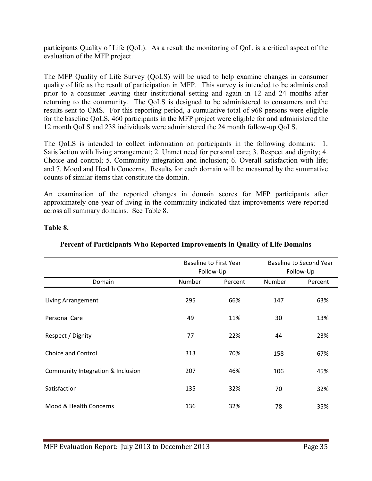participants Quality of Life (QoL). As a result the monitoring of QoL is a critical aspect of the evaluation of the MFP project.

The MFP Quality of Life Survey (QoLS) will be used to help examine changes in consumer quality of life as the result of participation in MFP. This survey is intended to be administered prior to a consumer leaving their institutional setting and again in 12 and 24 months after returning to the community. The QoLS is designed to be administered to consumers and the results sent to CMS. For this reporting period, a cumulative total of 968 persons were eligible for the baseline QoLS, 460 participants in the MFP project were eligible for and administered the 12 month QoLS and 238 individuals were administered the 24 month follow-up QoLS.

The QoLS is intended to collect information on participants in the following domains: 1. Satisfaction with living arrangement; 2. Unmet need for personal care; 3. Respect and dignity; 4. Choice and control; 5. Community integration and inclusion; 6. Overall satisfaction with life; and 7. Mood and Health Concerns. Results for each domain will be measured by the summative counts of similar items that constitute the domain.

An examination of the reported changes in domain scores for MFP participants after approximately one year of living in the community indicated that improvements were reported across all summary domains. See Table 8.

#### **Table 8.**

|                                   |        | <b>Baseline to First Year</b> |        | Baseline to Second Year |
|-----------------------------------|--------|-------------------------------|--------|-------------------------|
|                                   |        | Follow-Up                     |        | Follow-Up               |
| Domain                            | Number | Percent                       | Number | Percent                 |
| Living Arrangement                | 295    | 66%                           | 147    | 63%                     |
| Personal Care                     | 49     | 11%                           | 30     | 13%                     |
| Respect / Dignity                 | 77     | 22%                           | 44     | 23%                     |
| Choice and Control                | 313    | 70%                           | 158    | 67%                     |
| Community Integration & Inclusion | 207    | 46%                           | 106    | 45%                     |
| Satisfaction                      | 135    | 32%                           | 70     | 32%                     |
| Mood & Health Concerns            | 136    | 32%                           | 78     | 35%                     |
|                                   |        |                               |        |                         |

#### **Percent of Participants Who Reported Improvements in Quality of Life Domains**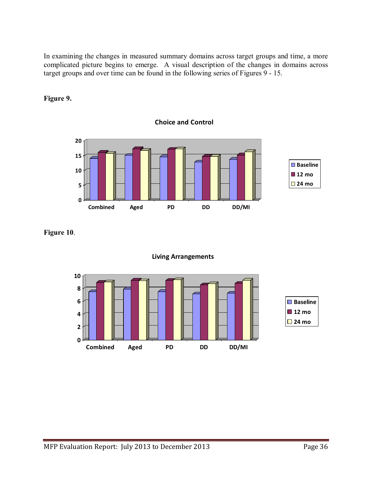In examining the changes in measured summary domains across target groups and time, a more complicated picture begins to emerge. A visual description of the changes in domains across target groups and over time can be found in the following series of Figures 9 - 15.

**Choice and Control**



### **Figure 9.**

**Figure 10**.



#### **Living Arrangements**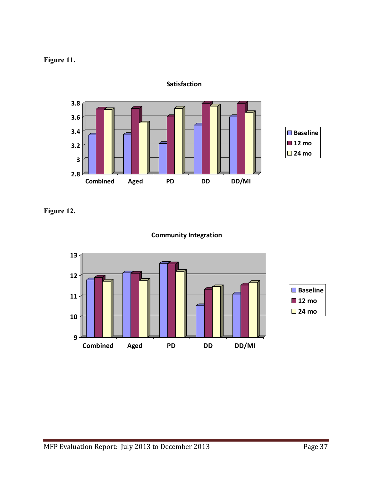## **Figure 11.**



**Satisfaction**

**Figure 12.** 



**Community Integration**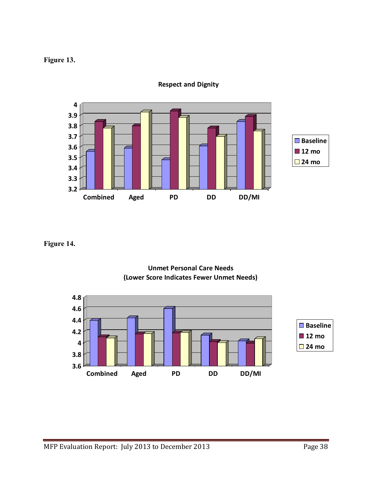## **Figure 13.**



**Respect and Dignity**

**Figure 14.** 



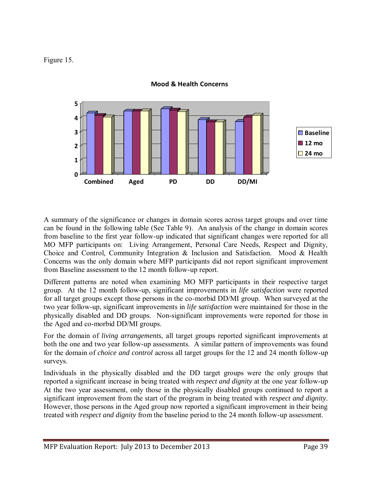Figure 15.



**Mood & Health Concerns**

A summary of the significance or changes in domain scores across target groups and over time can be found in the following table (See Table 9). An analysis of the change in domain scores from baseline to the first year follow-up indicated that significant changes were reported for all MO MFP participants on: Living Arrangement, Personal Care Needs, Respect and Dignity, Choice and Control, Community Integration & Inclusion and Satisfaction. Mood & Health Concerns was the only domain where MFP participants did not report significant improvement from Baseline assessment to the 12 month follow-up report.

Different patterns are noted when examining MO MFP participants in their respective target group. At the 12 month follow-up, significant improvements in *life satisfaction* were reported for all target groups except those persons in the co-morbid DD/MI group. When surveyed at the two year follow-up, significant improvements in *life satisfaction* were maintained for those in the physically disabled and DD groups. Non-significant improvements were reported for those in the Aged and co-morbid DD/MI groups.

For the domain of *living arrangements*, all target groups reported significant improvements at both the one and two year follow-up assessments. A similar pattern of improvements was found for the domain of *choice and control* across all target groups for the 12 and 24 month follow-up surveys.

Individuals in the physically disabled and the DD target groups were the only groups that reported a significant increase in being treated with *respect and dignity* at the one year follow-up At the two year assessment, only those in the physically disabled groups continued to report a significant improvement from the start of the program in being treated with *respect and dignity*. However, those persons in the Aged group now reported a significant improvement in their being treated with *respect and dignity* from the baseline period to the 24 month follow-up assessment.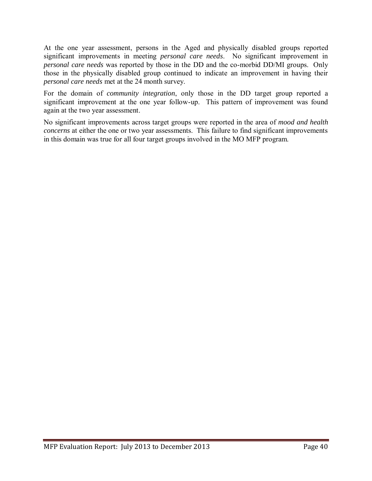At the one year assessment, persons in the Aged and physically disabled groups reported significant improvements in meeting *personal care needs*. No significant improvement in *personal care needs* was reported by those in the DD and the co-morbid DD/MI groups. Only those in the physically disabled group continued to indicate an improvement in having their *personal care needs* met at the 24 month survey.

For the domain of *community integration*, only those in the DD target group reported a significant improvement at the one year follow-up. This pattern of improvement was found again at the two year assessment.

No significant improvements across target groups were reported in the area of *mood and health concerns* at either the one or two year assessments. This failure to find significant improvements in this domain was true for all four target groups involved in the MO MFP program.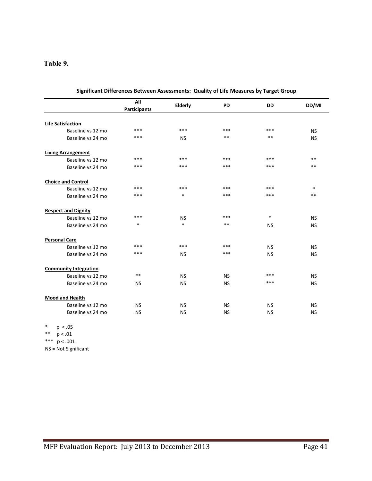### **Table 9.**

|                              | All<br><b>Participants</b> | Elderly   | <b>PD</b> | <b>DD</b> | DD/MI     |
|------------------------------|----------------------------|-----------|-----------|-----------|-----------|
|                              |                            |           |           |           |           |
| <b>Life Satisfaction</b>     |                            |           |           |           |           |
| Baseline vs 12 mo            | ***                        | ***       | ***       | ***       | <b>NS</b> |
| Baseline vs 24 mo            | ***                        | <b>NS</b> | $***$     | $***$     | <b>NS</b> |
| <b>Living Arrangement</b>    |                            |           |           |           |           |
| Baseline vs 12 mo            | $***$                      | ***       | $***$     | ***       | $**$      |
| Baseline vs 24 mo            | $***$                      | ***       | ***       | ***       | **        |
| <b>Choice and Control</b>    |                            |           |           |           |           |
| Baseline vs 12 mo            | ***                        | ***       | ***       | ***       | $\ast$    |
| Baseline vs 24 mo            | ***                        | $\ast$    | ***       | ***       | $***$     |
| <b>Respect and Dignity</b>   |                            |           |           |           |           |
| Baseline vs 12 mo            | ***                        | <b>NS</b> | ***       | $\ast$    | <b>NS</b> |
| Baseline vs 24 mo            | $\ast$                     | $\ast$    | $***$     | <b>NS</b> | <b>NS</b> |
| <b>Personal Care</b>         |                            |           |           |           |           |
| Baseline vs 12 mo            | ***                        | ***       | ***       | <b>NS</b> | <b>NS</b> |
| Baseline vs 24 mo            | ***                        | <b>NS</b> | ***       | <b>NS</b> | <b>NS</b> |
| <b>Community Integration</b> |                            |           |           |           |           |
| Baseline vs 12 mo            | **                         | <b>NS</b> | <b>NS</b> | ***       | <b>NS</b> |
| Baseline vs 24 mo            | <b>NS</b>                  | <b>NS</b> | <b>NS</b> | ***       | <b>NS</b> |
| <b>Mood and Health</b>       |                            |           |           |           |           |
| Baseline vs 12 mo            | <b>NS</b>                  | <b>NS</b> | <b>NS</b> | <b>NS</b> | <b>NS</b> |
| Baseline vs 24 mo            | <b>NS</b>                  | <b>NS</b> | <b>NS</b> | <b>NS</b> | <b>NS</b> |

| Significant Differences Between Assessments: Quality of Life Measures by Target Group |  |  |
|---------------------------------------------------------------------------------------|--|--|
|---------------------------------------------------------------------------------------|--|--|

\* p < .05

\*\*\*  $p < .001$ 

NS = Not Significant

<sup>\*\*</sup> p < .01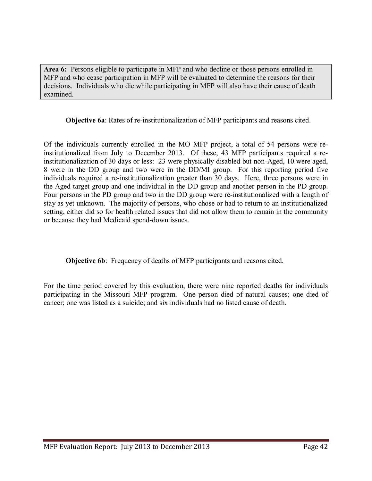**Area 6:** Persons eligible to participate in MFP and who decline or those persons enrolled in MFP and who cease participation in MFP will be evaluated to determine the reasons for their decisions. Individuals who die while participating in MFP will also have their cause of death examined.

**Objective 6a**: Rates of re-institutionalization of MFP participants and reasons cited.

Of the individuals currently enrolled in the MO MFP project, a total of 54 persons were reinstitutionalized from July to December 2013. Of these, 43 MFP participants required a reinstitutionalization of 30 days or less: 23 were physically disabled but non-Aged, 10 were aged, 8 were in the DD group and two were in the DD/MI group. For this reporting period five individuals required a re-institutionalization greater than 30 days. Here, three persons were in the Aged target group and one individual in the DD group and another person in the PD group. Four persons in the PD group and two in the DD group were re-institutionalized with a length of stay as yet unknown. The majority of persons, who chose or had to return to an institutionalized setting, either did so for health related issues that did not allow them to remain in the community or because they had Medicaid spend-down issues.

**Objective 6b**: Frequency of deaths of MFP participants and reasons cited.

For the time period covered by this evaluation, there were nine reported deaths for individuals participating in the Missouri MFP program. One person died of natural causes; one died of cancer; one was listed as a suicide; and six individuals had no listed cause of death.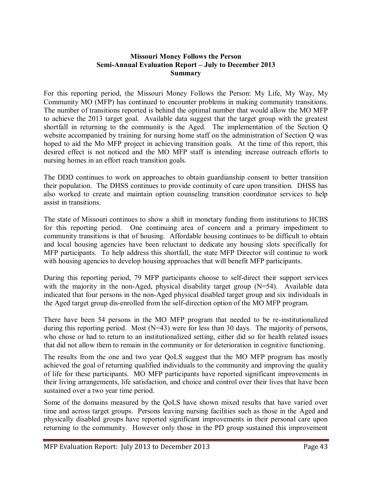#### **Missouri Money Follows the Person Semi-Annual Evaluation Report – July to December 2013 Summary**

For this reporting period, the Missouri Money Follows the Person: My Life, My Way, My Community MO (MFP) has continued to encounter problems in making community transitions. The number of transitions reported is behind the optimal number that would allow the MO MFP to achieve the 2013 target goal. Available data suggest that the target group with the greatest shortfall in returning to the community is the Aged. The implementation of the Section Q website accompanied by training for nursing home staff on the administration of Section O was hoped to aid the Mo MFP project in achieving transition goals. At the time of this report, this desired effect is not noticed and the MO MFP staff is intending increase outreach efforts to nursing homes in an effort reach transition goals.

The DDD continues to work on approaches to obtain guardianship consent to better transition their population. The DHSS continues to provide continuity of care upon transition. DHSS has also worked to create and maintain option counseling transition coordinator services to help assist in transitions.

The state of Missouri continues to show a shift in monetary funding from institutions to HCBS for this reporting period. One continuing area of concern and a primary impediment to community transitions is that of housing. Affordable housing continues to be difficult to obtain and local housing agencies have been reluctant to dedicate any housing slots specifically for MFP participants. To help address this shortfall, the state MFP Director will continue to work with housing agencies to develop housing approaches that will benefit MFP participants.

During this reporting period, 79 MFP participants choose to self-direct their support services with the majority in the non-Aged, physical disability target group (N=54). Available data indicated that four persons in the non-Aged physical disabled target group and six individuals in the Aged target group dis-enrolled from the self-direction option of the MO MFP program.

There have been 54 persons in the MO MFP program that needed to be re-institutionalized during this reporting period. Most  $(N=43)$  were for less than 30 days. The majority of persons, who chose or had to return to an institutionalized setting, either did so for health related issues that did not allow them to remain in the community or for deterioration in cognitive functioning.

The results from the one and two year QoLS suggest that the MO MFP program has mostly achieved the goal of returning qualified individuals to the community and improving the quality of life for these participants. MO MFP participants have reported significant improvements in their living arrangements, life satisfaction, and choice and control over their lives that have been sustained over a two year time period.

Some of the domains measured by the QoLS have shown mixed results that have varied over time and across target groups. Persons leaving nursing facilities such as those in the Aged and physically disabled groups have reported significant improvements in their personal care upon returning to the community. However only those in the PD group sustained this improvement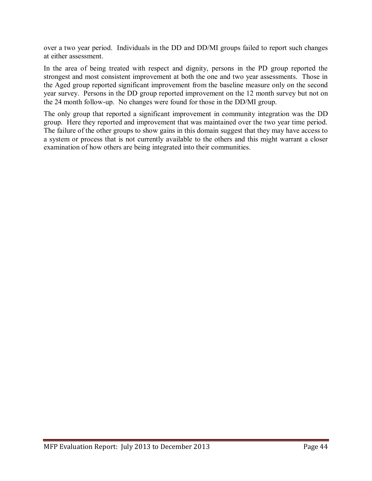over a two year period. Individuals in the DD and DD/MI groups failed to report such changes at either assessment.

In the area of being treated with respect and dignity, persons in the PD group reported the strongest and most consistent improvement at both the one and two year assessments. Those in the Aged group reported significant improvement from the baseline measure only on the second year survey. Persons in the DD group reported improvement on the 12 month survey but not on the 24 month follow-up. No changes were found for those in the DD/MI group.

The only group that reported a significant improvement in community integration was the DD group. Here they reported and improvement that was maintained over the two year time period. The failure of the other groups to show gains in this domain suggest that they may have access to a system or process that is not currently available to the others and this might warrant a closer examination of how others are being integrated into their communities.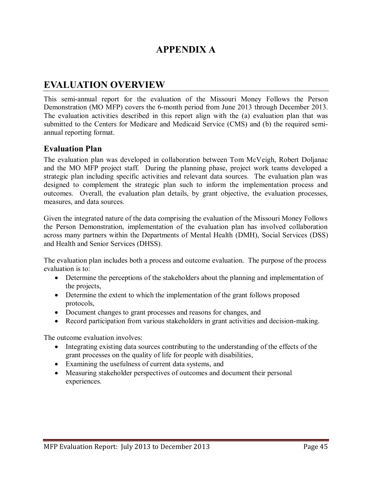# **APPENDIX A**

# **EVALUATION OVERVIEW**

This semi-annual report for the evaluation of the Missouri Money Follows the Person Demonstration (MO MFP) covers the 6-month period from June 2013 through December 2013. The evaluation activities described in this report align with the (a) evaluation plan that was submitted to the Centers for Medicare and Medicaid Service (CMS) and (b) the required semiannual reporting format.

### **Evaluation Plan**

The evaluation plan was developed in collaboration between Tom McVeigh, Robert Doljanac and the MO MFP project staff. During the planning phase, project work teams developed a strategic plan including specific activities and relevant data sources. The evaluation plan was designed to complement the strategic plan such to inform the implementation process and outcomes. Overall, the evaluation plan details, by grant objective, the evaluation processes, measures, and data sources.

Given the integrated nature of the data comprising the evaluation of the Missouri Money Follows the Person Demonstration, implementation of the evaluation plan has involved collaboration across many partners within the Departments of Mental Health (DMH), Social Services (DSS) and Health and Senior Services (DHSS).

The evaluation plan includes both a process and outcome evaluation. The purpose of the process evaluation is to:

- Determine the perceptions of the stakeholders about the planning and implementation of the projects,
- Determine the extent to which the implementation of the grant follows proposed protocols,
- Document changes to grant processes and reasons for changes, and
- Record participation from various stakeholders in grant activities and decision-making.

The outcome evaluation involves:

- Integrating existing data sources contributing to the understanding of the effects of the grant processes on the quality of life for people with disabilities,
- Examining the usefulness of current data systems, and
- Measuring stakeholder perspectives of outcomes and document their personal experiences.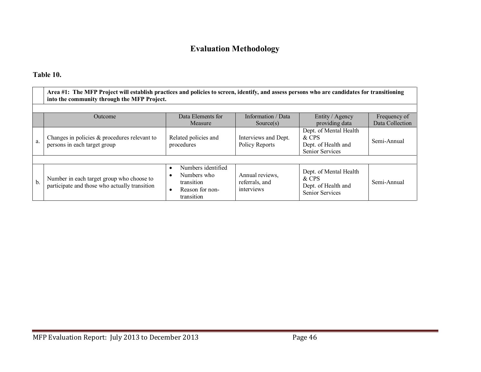# **Evaluation Methodology**

## **Table 10.**

|    | Area #1: The MFP Project will establish practices and policies to screen, identify, and assess persons who are candidates for transitioning<br>into the community through the MFP Project. |                                                                                  |                                                 |                                                                                  |                 |  |  |  |
|----|--------------------------------------------------------------------------------------------------------------------------------------------------------------------------------------------|----------------------------------------------------------------------------------|-------------------------------------------------|----------------------------------------------------------------------------------|-----------------|--|--|--|
|    |                                                                                                                                                                                            |                                                                                  |                                                 |                                                                                  |                 |  |  |  |
|    | <b>Outcome</b>                                                                                                                                                                             | Data Elements for                                                                | Information / Data                              | Entity / Agency                                                                  | Frequency of    |  |  |  |
|    |                                                                                                                                                                                            | Measure                                                                          | Source(s)                                       | providing data                                                                   | Data Collection |  |  |  |
| a. | Changes in policies $\&$ procedures relevant to<br>persons in each target group                                                                                                            | Related policies and<br>procedures                                               | Interviews and Dept.<br>Policy Reports          | Dept. of Mental Health<br>& CPS<br>Dept. of Health and<br><b>Senior Services</b> | Semi-Annual     |  |  |  |
|    |                                                                                                                                                                                            |                                                                                  |                                                 |                                                                                  |                 |  |  |  |
| b. | Number in each target group who choose to<br>participate and those who actually transition                                                                                                 | Numbers identified<br>Numbers who<br>transition<br>Reason for non-<br>transition | Annual reviews,<br>referrals, and<br>interviews | Dept. of Mental Health<br>& CPS<br>Dept. of Health and<br><b>Senior Services</b> | Semi-Annual     |  |  |  |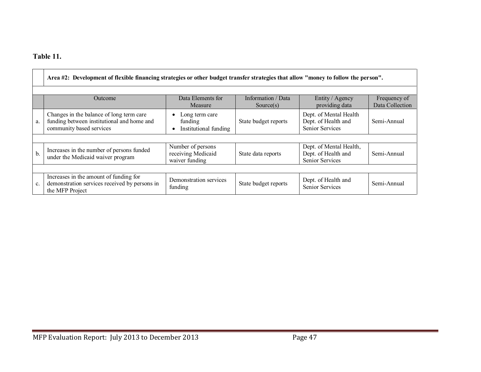## **Table 11.**

|     | Area #2: Development of flexible financing strategies or other budget transfer strategies that allow "money to follow the person".                 |                                                           |                      |                                                                          |             |  |  |  |
|-----|----------------------------------------------------------------------------------------------------------------------------------------------------|-----------------------------------------------------------|----------------------|--------------------------------------------------------------------------|-------------|--|--|--|
|     | Data Elements for<br>Information / Data<br>Entity / Agency<br>Frequency of<br>Outcome<br>Data Collection<br>providing data<br>Measure<br>Source(s) |                                                           |                      |                                                                          |             |  |  |  |
| a.  | Changes in the balance of long term care<br>funding between institutional and home and<br>community based services                                 | Long term care<br>funding<br>Institutional funding        | State budget reports | Dept. of Mental Health<br>Dept. of Health and<br><b>Senior Services</b>  | Semi-Annual |  |  |  |
|     |                                                                                                                                                    |                                                           |                      |                                                                          |             |  |  |  |
| $b$ | Increases in the number of persons funded<br>under the Medicaid waiver program                                                                     | Number of persons<br>receiving Medicaid<br>waiver funding | State data reports   | Dept. of Mental Health,<br>Dept. of Health and<br><b>Senior Services</b> | Semi-Annual |  |  |  |
|     |                                                                                                                                                    |                                                           |                      |                                                                          |             |  |  |  |
| c.  | Increases in the amount of funding for<br>demonstration services received by persons in<br>the MFP Project                                         | Demonstration services<br>funding                         | State budget reports | Dept. of Health and<br><b>Senior Services</b>                            | Semi-Annual |  |  |  |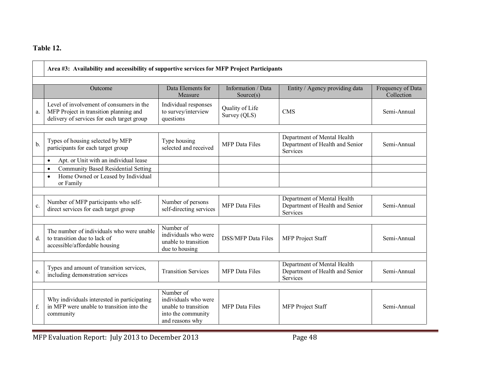## **Table 12.**

|               | Area #3: Availability and accessibility of supportive services for MFP Project Participants                                      |                                                                                                    |                                 |                                                                            |                                 |  |  |
|---------------|----------------------------------------------------------------------------------------------------------------------------------|----------------------------------------------------------------------------------------------------|---------------------------------|----------------------------------------------------------------------------|---------------------------------|--|--|
|               | Outcome                                                                                                                          | Data Elements for<br>Measure                                                                       | Information / Data<br>Source(s) | Entity / Agency providing data                                             | Frequency of Data<br>Collection |  |  |
| a.            | Level of involvement of consumers in the<br>MFP Project in transition planning and<br>delivery of services for each target group | Individual responses<br>to survey/interview<br>questions                                           | Quality of Life<br>Survey (QLS) | <b>CMS</b>                                                                 | Semi-Annual                     |  |  |
| $\mathbf b$ . | Types of housing selected by MFP<br>participants for each target group                                                           | Type housing<br>selected and received                                                              | <b>MFP</b> Data Files           | Department of Mental Health<br>Department of Health and Senior<br>Services | Semi-Annual                     |  |  |
|               | Apt. or Unit with an individual lease<br>$\bullet$<br><b>Community Based Residential Setting</b><br>$\bullet$                    |                                                                                                    |                                 |                                                                            |                                 |  |  |
|               | Home Owned or Leased by Individual<br>$\bullet$<br>or Family                                                                     |                                                                                                    |                                 |                                                                            |                                 |  |  |
| c.            | Number of MFP participants who self-<br>direct services for each target group                                                    | Number of persons<br>self-directing services                                                       | <b>MFP</b> Data Files           | Department of Mental Health<br>Department of Health and Senior<br>Services | Semi-Annual                     |  |  |
| d.            | The number of individuals who were unable<br>to transition due to lack of<br>accessible/affordable housing                       | Number of<br>individuals who were<br>unable to transition<br>due to housing                        | <b>DSS/MFP</b> Data Files       | MFP Project Staff                                                          | Semi-Annual                     |  |  |
| e.            | Types and amount of transition services,<br>including demonstration services                                                     | <b>Transition Services</b>                                                                         | <b>MFP</b> Data Files           | Department of Mental Health<br>Department of Health and Senior<br>Services | Semi-Annual                     |  |  |
| f.            | Why individuals interested in participating<br>in MFP were unable to transition into the<br>community                            | Number of<br>individuals who were<br>unable to transition<br>into the community<br>and reasons why | <b>MFP</b> Data Files           | MFP Project Staff                                                          | Semi-Annual                     |  |  |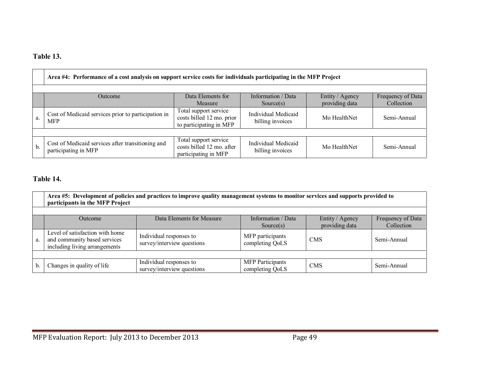## **Table 13.**

|    | Area #4: Performance of a cost analysis on support service costs for individuals participating in the MFP Project                                     |                                                                               |                                         |              |             |  |  |  |
|----|-------------------------------------------------------------------------------------------------------------------------------------------------------|-------------------------------------------------------------------------------|-----------------------------------------|--------------|-------------|--|--|--|
|    | Data Elements for<br>Information / Data<br>Entity / Agency<br>Frequency of Data<br>Outcome<br>providing data<br>Collection<br>Measure<br>Source $(s)$ |                                                                               |                                         |              |             |  |  |  |
| a. | Cost of Medicaid services prior to participation in<br><b>MFP</b>                                                                                     | Total support service<br>costs billed 12 mo. prior<br>to participating in MFP | Individual Medicaid<br>billing invoices | Mo HealthNet | Semi-Annual |  |  |  |
|    |                                                                                                                                                       |                                                                               |                                         |              |             |  |  |  |
| b. | Cost of Medicaid services after transitioning and<br>participating in MFP                                                                             | Total support service<br>costs billed 12 mo. after<br>participating in MFP    | Individual Medicaid<br>billing invoices | Mo HealthNet | Semi-Annual |  |  |  |

## **Table 14.**

|    | Area #5: Development of policies and practices to improve quality management systems to monitor services and supports provided to<br>participants in the MFP Project |                                                       |                                            |            |             |  |  |
|----|----------------------------------------------------------------------------------------------------------------------------------------------------------------------|-------------------------------------------------------|--------------------------------------------|------------|-------------|--|--|
|    | Data Elements for Measure<br>Information / Data<br>Frequency of Data<br>Entity / Agency<br><b>Outcome</b><br>providing data<br>Collection<br>Source $(s)$            |                                                       |                                            |            |             |  |  |
| a. | Level of satisfaction with home<br>and community based services<br>including living arrangements                                                                     | Individual responses to<br>survey/interview questions | MFP participants<br>completing QoLS        | <b>CMS</b> | Semi-Annual |  |  |
|    |                                                                                                                                                                      |                                                       |                                            |            |             |  |  |
| b. | Changes in quality of life                                                                                                                                           | Individual responses to<br>survey/interview questions | <b>MFP</b> Participants<br>completing QoLS | <b>CMS</b> | Semi-Annual |  |  |